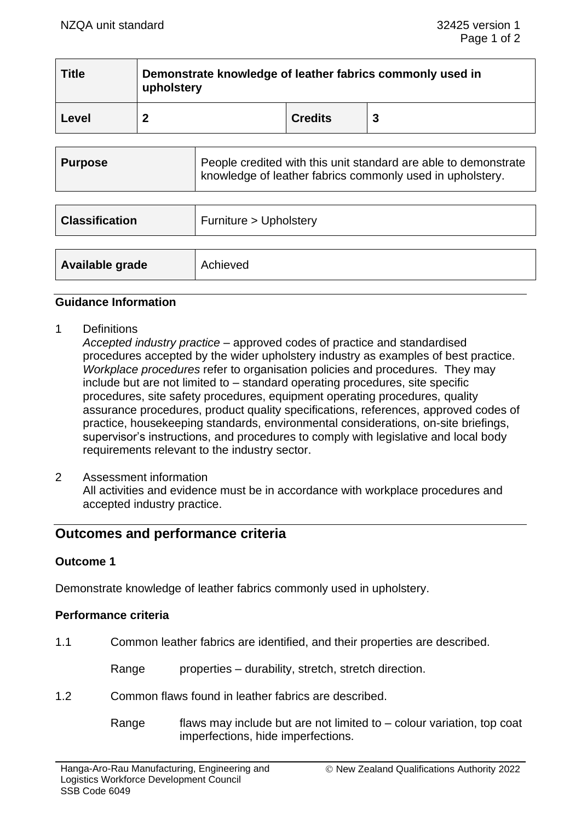| <b>Title</b>                                                                                                                                   | upholstery   | Demonstrate knowledge of leather fabrics commonly used in |                |   |  |  |
|------------------------------------------------------------------------------------------------------------------------------------------------|--------------|-----------------------------------------------------------|----------------|---|--|--|
| Level                                                                                                                                          | $\mathbf{2}$ |                                                           | <b>Credits</b> | 3 |  |  |
|                                                                                                                                                |              |                                                           |                |   |  |  |
| People credited with this unit standard are able to demonstrate<br><b>Purpose</b><br>knowledge of leather fabrics commonly used in upholstery. |              |                                                           |                |   |  |  |

| <b>Classification</b> | Furniture > Upholstery |
|-----------------------|------------------------|
| Available grade       | Achieved               |

#### **Guidance Information**

1 Definitions

*Accepted industry practice* – approved codes of practice and standardised procedures accepted by the wider upholstery industry as examples of best practice. *Workplace procedures* refer to organisation policies and procedures. They may include but are not limited to – standard operating procedures, site specific procedures, site safety procedures, equipment operating procedures, quality assurance procedures, product quality specifications, references, approved codes of practice, housekeeping standards, environmental considerations, on-site briefings, supervisor's instructions, and procedures to comply with legislative and local body requirements relevant to the industry sector.

2 Assessment information All activities and evidence must be in accordance with workplace procedures and accepted industry practice.

# **Outcomes and performance criteria**

# **Outcome 1**

Demonstrate knowledge of leather fabrics commonly used in upholstery.

# **Performance criteria**

1.1 Common leather fabrics are identified, and their properties are described.

Range properties – durability, stretch, stretch direction.

1.2 Common flaws found in leather fabrics are described.

Range flaws may include but are not limited to  $-$  colour variation, top coat imperfections, hide imperfections.